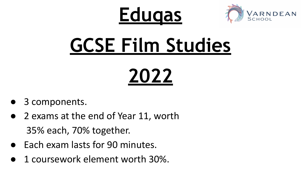



# **GCSE Film Studies**

# **2022**

- 3 components.
- 2 exams at the end of Year 11, worth 35% each, 70% together.
- Each exam lasts for 90 minutes.
- 1 coursework element worth 30%.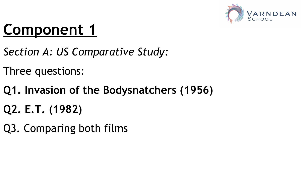

## **Component 1**

*Section A: US Comparative Study:*

Three questions:

- **Q1. Invasion of the Bodysnatchers (1956)**
- **Q2. E.T. (1982)**
- Q3. Comparing both films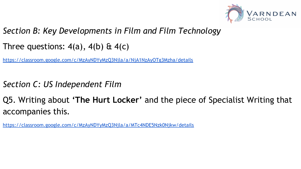

- *Section B: Key Developments in Film and Film Technology*
- Three questions:  $4(a)$ ,  $4(b)$  &  $4(c)$

<https://classroom.google.com/c/MzAyNDYyMzQ3Njla/a/NjA1NzAyOTg3Mzha/details>

- *Section C: US Independent Film*
- Q5. Writing about **'The Hurt Locker'** and the piece of Specialist Writing that accompanies this.

<https://classroom.google.com/c/MzAyNDYyMzQ3Njla/a/MTc4NDE5Nzk0Njkw/details>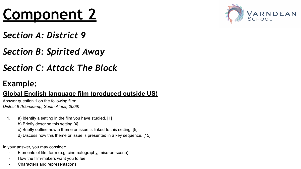# **Component 2**

- *Section A: District 9*
- *Section B: Spirited Away*

### *Section C: Attack The Block*

### **Example:**

### **Global English language film (produced outside US)**

Answer question 1 on the following film: *District 9 (Blomkamp, South Africa, 2009)*

- 1. a) Identify a setting in the film you have studied. [1]
	- b) Briefly describe this setting.[4]
	- c) Briefly outline how a theme or issue is linked to this setting. [5]
	- d) Discuss how this theme or issue is presented in a key sequence. [15]

In your answer, you may consider:

- Elements of film form (e.g. cinematography, mise-en-scène)
- How the film-makers want you to feel
- Characters and representations